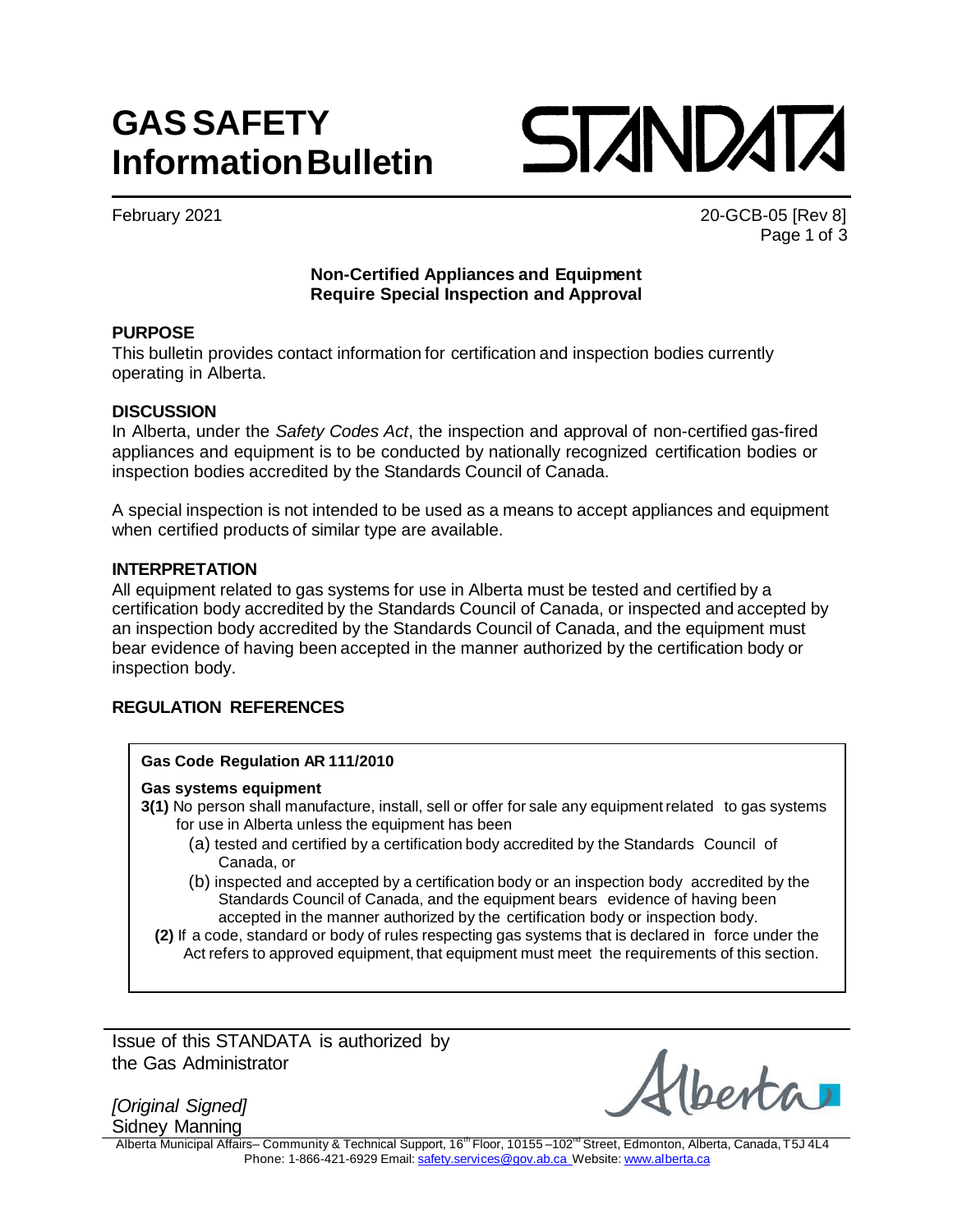# **GASSAFETY InformationBulletin**



February 2021 20-GCB-05 [Rev 8] Page 1 of 3

# **Non-Certified Appliances and Equipment Require Special Inspection and Approval**

# **PURPOSE**

This bulletin provides contact information for certification and inspection bodies currently operating in Alberta.

# **DISCUSSION**

In Alberta, under the *Safety Codes Act*, the inspection and approval of non-certified gas-fired appliances and equipment is to be conducted by nationally recognized certification bodies or inspection bodies accredited by the Standards Council of Canada.

A special inspection is not intended to be used as a means to accept appliances and equipment when certified products of similar type are available.

#### **INTERPRETATION**

All equipment related to gas systems for use in Alberta must be tested and certified by a certification body accredited by the Standards Council of Canada, or inspected and accepted by an inspection body accredited by the Standards Council of Canada, and the equipment must bear evidence of having been accepted in the manner authorized by the certification body or inspection body.

# **REGULATION REFERENCES**

# **Gas Code Regulation AR 111/2010**

#### **Gas systems equipment**

- **3(1)** No person shall manufacture, install, sell or offer for sale any equipmentrelated to gas systems for use in Alberta unless the equipment has been
	- (a) tested and certified by a certification body accredited by the Standards Council of Canada, or
	- (b) inspected and accepted by a certification body or an inspection body accredited by the Standards Council of Canada, and the equipment bears evidence of having been accepted in the manner authorized by the certification body or inspection body.
	- **(2)** If a code, standard or body of rules respecting gas systems that is declared in force under the Act refers to approved equipment, that equipment must meet the requirements of this section.

Issue of this STANDATA is authorized by the Gas Administrator

*[Original Signed]* Sidney Manning

hest

Alberta Municipal Affairs– Community & Technical Support, 16<sup>th</sup> Floor, 10155 –102<sup>nd</sup> Street, Edmonton, Alberta, Canada,T5J 4L4 Phone: 1-866-421-6929 Email: [safety.services@gov.ab.ca](mailto:safety.services@gov.ab.ca) Website: [www.alberta.ca](http://www.alberta.ca/)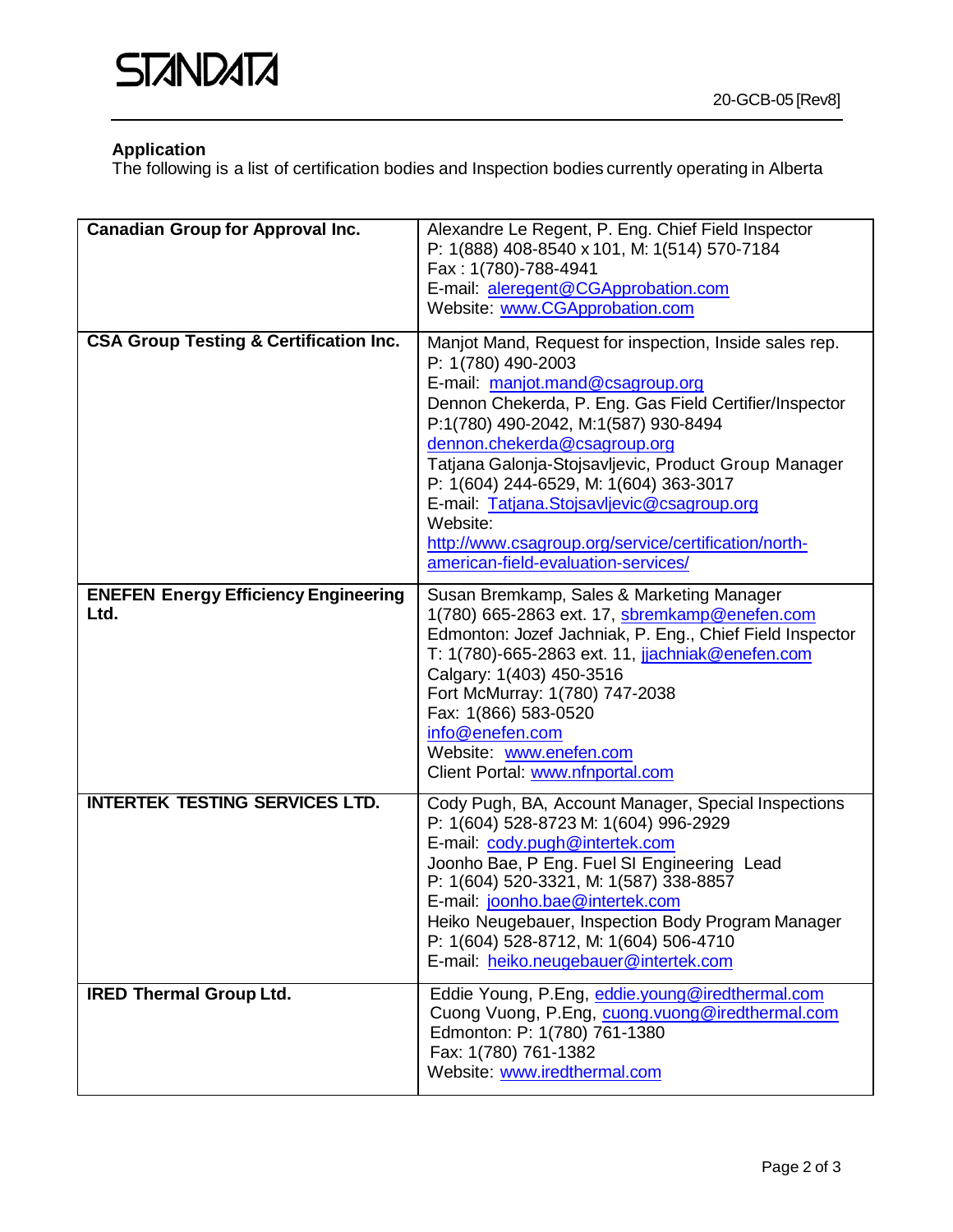# **Application**

The following is a list of certification bodies and Inspection bodies currently operating in Alberta

| <b>Canadian Group for Approval Inc.</b>             | Alexandre Le Regent, P. Eng. Chief Field Inspector<br>P: 1(888) 408-8540 x 101, M: 1(514) 570-7184<br>Fax: 1(780)-788-4941<br>E-mail: aleregent@CGApprobation.com<br>Website: www.CGApprobation.com                                                                                                                                                                                                                                                                                                           |
|-----------------------------------------------------|---------------------------------------------------------------------------------------------------------------------------------------------------------------------------------------------------------------------------------------------------------------------------------------------------------------------------------------------------------------------------------------------------------------------------------------------------------------------------------------------------------------|
| <b>CSA Group Testing &amp; Certification Inc.</b>   | Manjot Mand, Request for inspection, Inside sales rep.<br>P: 1(780) 490-2003<br>E-mail: manjot.mand@csagroup.org<br>Dennon Chekerda, P. Eng. Gas Field Certifier/Inspector<br>P:1(780) 490-2042, M:1(587) 930-8494<br>dennon.chekerda@csagroup.org<br>Tatjana Galonja-Stojsavljevic, Product Group Manager<br>P: 1(604) 244-6529, M: 1(604) 363-3017<br>E-mail: Tatjana.Stojsavljevic@csagroup.org<br>Website:<br>http://www.csagroup.org/service/certification/north-<br>american-field-evaluation-services/ |
| <b>ENEFEN Energy Efficiency Engineering</b><br>Ltd. | Susan Bremkamp, Sales & Marketing Manager<br>1(780) 665-2863 ext. 17, sbremkamp@enefen.com<br>Edmonton: Jozef Jachniak, P. Eng., Chief Field Inspector<br>T: 1(780)-665-2863 ext. 11, jachniak@enefen.com<br>Calgary: 1(403) 450-3516<br>Fort McMurray: 1(780) 747-2038<br>Fax: 1(866) 583-0520<br>info@enefen.com<br>Website: www.enefen.com<br>Client Portal: www.nfnportal.com                                                                                                                             |
| <b>INTERTEK TESTING SERVICES LTD.</b>               | Cody Pugh, BA, Account Manager, Special Inspections<br>P: 1(604) 528-8723 M: 1(604) 996-2929<br>E-mail: cody.pugh@intertek.com<br>Joonho Bae, P Eng. Fuel SI Engineering Lead<br>P: 1(604) 520-3321, M: 1(587) 338-8857<br>E-mail: joonho.bae@intertek.com<br>Heiko Neugebauer, Inspection Body Program Manager<br>P: 1(604) 528-8712, M: 1(604) 506-4710<br>E-mail: heiko.neugebauer@intertek.com                                                                                                            |
| <b>IRED Thermal Group Ltd.</b>                      | Eddie Young, P.Eng, eddie.young@iredthermal.com<br>Cuong Vuong, P.Eng, cuong.vuong@iredthermal.com<br>Edmonton: P: 1(780) 761-1380<br>Fax: 1(780) 761-1382<br>Website: www.iredthermal.com                                                                                                                                                                                                                                                                                                                    |